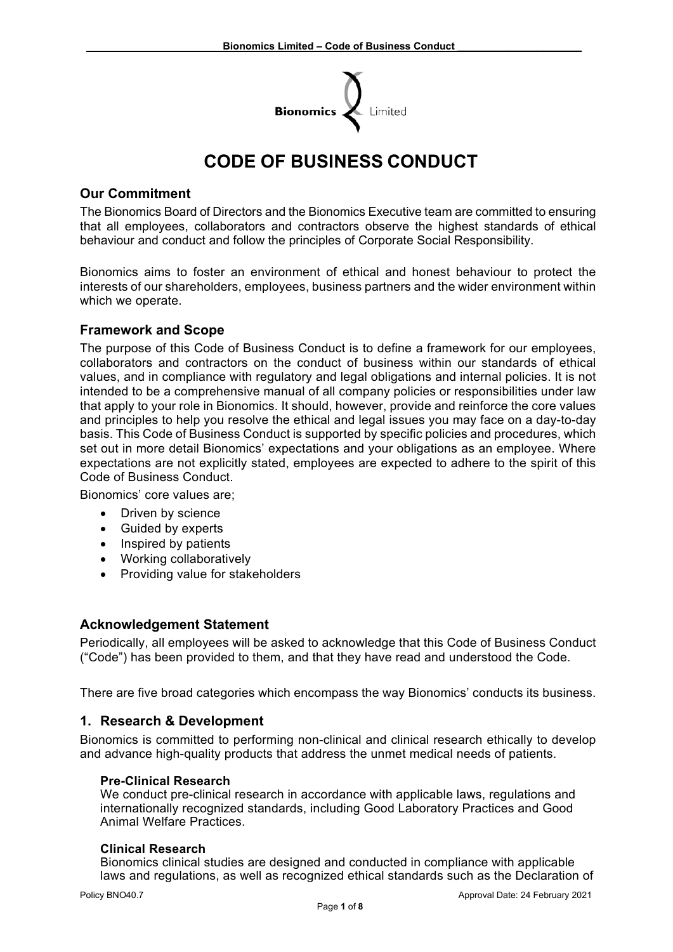

# **CODE OF BUSINESS CONDUCT**

## **Our Commitment**

The Bionomics Board of Directors and the Bionomics Executive team are committed to ensuring that all employees, collaborators and contractors observe the highest standards of ethical behaviour and conduct and follow the principles of Corporate Social Responsibility.

Bionomics aims to foster an environment of ethical and honest behaviour to protect the interests of our shareholders, employees, business partners and the wider environment within which we operate.

## **Framework and Scope**

The purpose of this Code of Business Conduct is to define a framework for our employees, collaborators and contractors on the conduct of business within our standards of ethical values, and in compliance with regulatory and legal obligations and internal policies. It is not intended to be a comprehensive manual of all company policies or responsibilities under law that apply to your role in Bionomics. It should, however, provide and reinforce the core values and principles to help you resolve the ethical and legal issues you may face on a day-to-day basis. This Code of Business Conduct is supported by specific policies and procedures, which set out in more detail Bionomics' expectations and your obligations as an employee. Where expectations are not explicitly stated, employees are expected to adhere to the spirit of this Code of Business Conduct.

Bionomics' core values are;

- Driven by science
- Guided by experts
- Inspired by patients
- Working collaboratively
- Providing value for stakeholders

## **Acknowledgement Statement**

Periodically, all employees will be asked to acknowledge that this Code of Business Conduct ("Code") has been provided to them, and that they have read and understood the Code.

There are five broad categories which encompass the way Bionomics' conducts its business.

## **1. Research & Development**

Bionomics is committed to performing non-clinical and clinical research ethically to develop and advance high-quality products that address the unmet medical needs of patients.

#### **Pre-Clinical Research**

We conduct pre-clinical research in accordance with applicable laws, regulations and internationally recognized standards, including Good Laboratory Practices and Good Animal Welfare Practices.

#### **Clinical Research**

Bionomics clinical studies are designed and conducted in compliance with applicable laws and regulations, as well as recognized ethical standards such as the Declaration of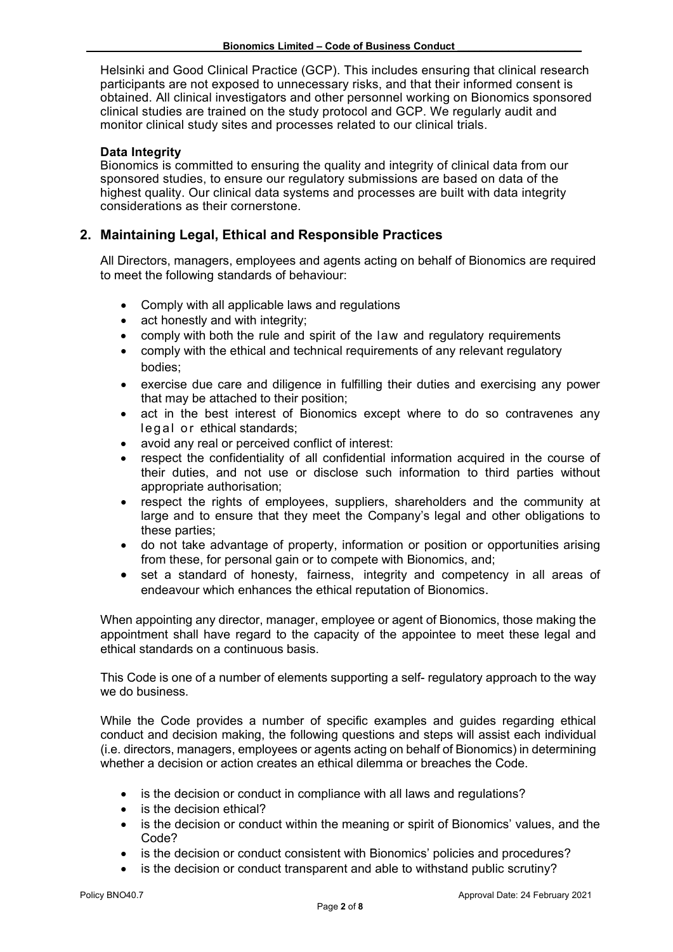Helsinki and Good Clinical Practice (GCP). This includes ensuring that clinical research participants are not exposed to unnecessary risks, and that their informed consent is obtained. All clinical investigators and other personnel working on Bionomics sponsored clinical studies are trained on the study protocol and GCP. We regularly audit and monitor clinical study sites and processes related to our clinical trials.

# **Data Integrity**

Bionomics is committed to ensuring the quality and integrity of clinical data from our sponsored studies, to ensure our regulatory submissions are based on data of the highest quality. Our clinical data systems and processes are built with data integrity considerations as their cornerstone.

# **2. Maintaining Legal, Ethical and Responsible Practices**

All Directors, managers, employees and agents acting on behalf of Bionomics are required to meet the following standards of behaviour:

- Comply with all applicable laws and regulations
- act honestly and with integrity;
- comply with both the rule and spirit of the law and regulatory requirements
- comply with the ethical and technical requirements of any relevant regulatory bodies;
- exercise due care and diligence in fulfilling their duties and exercising any power that may be attached to their position;
- act in the best interest of Bionomics except where to do so contravenes any legal or ethical standards;
- avoid any real or perceived conflict of interest:
- respect the confidentiality of all confidential information acquired in the course of their duties, and not use or disclose such information to third parties without appropriate authorisation;
- respect the rights of employees, suppliers, shareholders and the community at large and to ensure that they meet the Company's legal and other obligations to these parties;
- do not take advantage of property, information or position or opportunities arising from these, for personal gain or to compete with Bionomics, and;
- set a standard of honesty, fairness, integrity and competency in all areas of endeavour which enhances the ethical reputation of Bionomics.

When appointing any director, manager, employee or agent of Bionomics, those making the appointment shall have regard to the capacity of the appointee to meet these legal and ethical standards on a continuous basis.

This Code is one of a number of elements supporting a self- regulatory approach to the way we do business.

While the Code provides a number of specific examples and guides regarding ethical conduct and decision making, the following questions and steps will assist each individual (i.e. directors, managers, employees or agents acting on behalf of Bionomics) in determining whether a decision or action creates an ethical dilemma or breaches the Code.

- is the decision or conduct in compliance with all laws and regulations?
- is the decision ethical?
- is the decision or conduct within the meaning or spirit of Bionomics' values, and the Code?
- is the decision or conduct consistent with Bionomics' policies and procedures?
- is the decision or conduct transparent and able to withstand public scrutiny?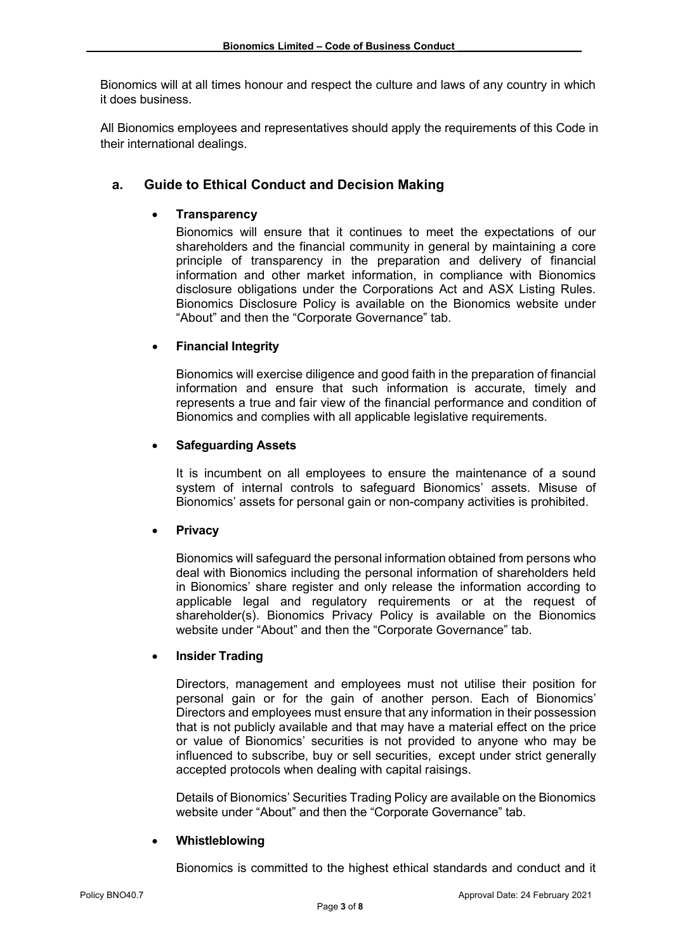Bionomics will at all times honour and respect the culture and laws of any country in which it does business.

All Bionomics employees and representatives should apply the requirements of this Code in their international dealings.

# **a. Guide to Ethical Conduct and Decision Making**

# • **Transparency**

Bionomics will ensure that it continues to meet the expectations of our shareholders and the financial community in general by maintaining a core principle of transparency in the preparation and delivery of financial information and other market information, in compliance with Bionomics disclosure obligations under the Corporations Act and ASX Listing Rules. Bionomics Disclosure Policy is available on the Bionomics website under "About" and then the "Corporate Governance" tab.

## • **Financial Integrity**

Bionomics will exercise diligence and good faith in the preparation of financial information and ensure that such information is accurate, timely and represents a true and fair view of the financial performance and condition of Bionomics and complies with all applicable legislative requirements.

## • **Safeguarding Assets**

It is incumbent on all employees to ensure the maintenance of a sound system of internal controls to safeguard Bionomics' assets. Misuse of Bionomics' assets for personal gain or non-company activities is prohibited.

## • **Privacy**

Bionomics will safeguard the personal information obtained from persons who deal with Bionomics including the personal information of shareholders held in Bionomics' share register and only release the information according to applicable legal and regulatory requirements or at the request of shareholder(s). Bionomics Privacy Policy is available on the Bionomics website under "About" and then the "Corporate Governance" tab.

#### • **Insider Trading**

Directors, management and employees must not utilise their position for personal gain or for the gain of another person. Each of Bionomics' Directors and employees must ensure that any information in their possession that is not publicly available and that may have a material effect on the price or value of Bionomics' securities is not provided to anyone who may be influenced to subscribe, buy or sell securities, except under strict generally accepted protocols when dealing with capital raisings.

Details of Bionomics' Securities Trading Policy are available on the Bionomics website under "About" and then the "Corporate Governance" tab.

#### • **Whistleblowing**

Bionomics is committed to the highest ethical standards and conduct and it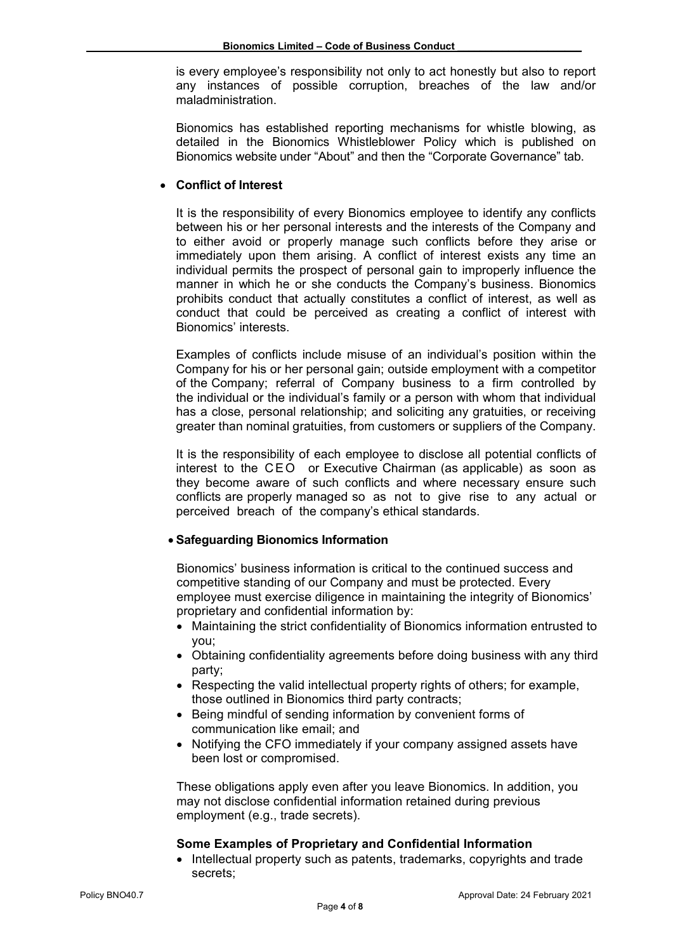is every employee's responsibility not only to act honestly but also to report any instances of possible corruption, breaches of the law and/or maladministration.

Bionomics has established reporting mechanisms for whistle blowing, as detailed in the Bionomics Whistleblower Policy which is published on Bionomics website under "About" and then the "Corporate Governance" tab.

## • **Conflict of Interest**

It is the responsibility of every Bionomics employee to identify any conflicts between his or her personal interests and the interests of the Company and to either avoid or properly manage such conflicts before they arise or immediately upon them arising. A conflict of interest exists any time an individual permits the prospect of personal gain to improperly influence the manner in which he or she conducts the Company's business. Bionomics prohibits conduct that actually constitutes a conflict of interest, as well as conduct that could be perceived as creating a conflict of interest with Bionomics' interests.

Examples of conflicts include misuse of an individual's position within the Company for his or her personal gain; outside employment with a competitor of the Company; referral of Company business to a firm controlled by the individual or the individual's family or a person with whom that individual has a close, personal relationship; and soliciting any gratuities, or receiving greater than nominal gratuities, from customers or suppliers of the Company.

It is the responsibility of each employee to disclose all potential conflicts of interest to the CEO or Executive Chairman (as applicable) as soon as they become aware of such conflicts and where necessary ensure such conflicts are properly managed so as not to give rise to any actual or perceived breach of the company's ethical standards.

#### • **Safeguarding Bionomics Information**

Bionomics' business information is critical to the continued success and competitive standing of our Company and must be protected. Every employee must exercise diligence in maintaining the integrity of Bionomics' proprietary and confidential information by:

- Maintaining the strict confidentiality of Bionomics information entrusted to you;
- Obtaining confidentiality agreements before doing business with any third party;
- Respecting the valid intellectual property rights of others; for example, those outlined in Bionomics third party contracts;
- Being mindful of sending information by convenient forms of communication like email; and
- Notifying the CFO immediately if your company assigned assets have been lost or compromised.

These obligations apply even after you leave Bionomics. In addition, you may not disclose confidential information retained during previous employment (e.g., trade secrets).

#### **Some Examples of Proprietary and Confidential Information**

• Intellectual property such as patents, trademarks, copyrights and trade secrets;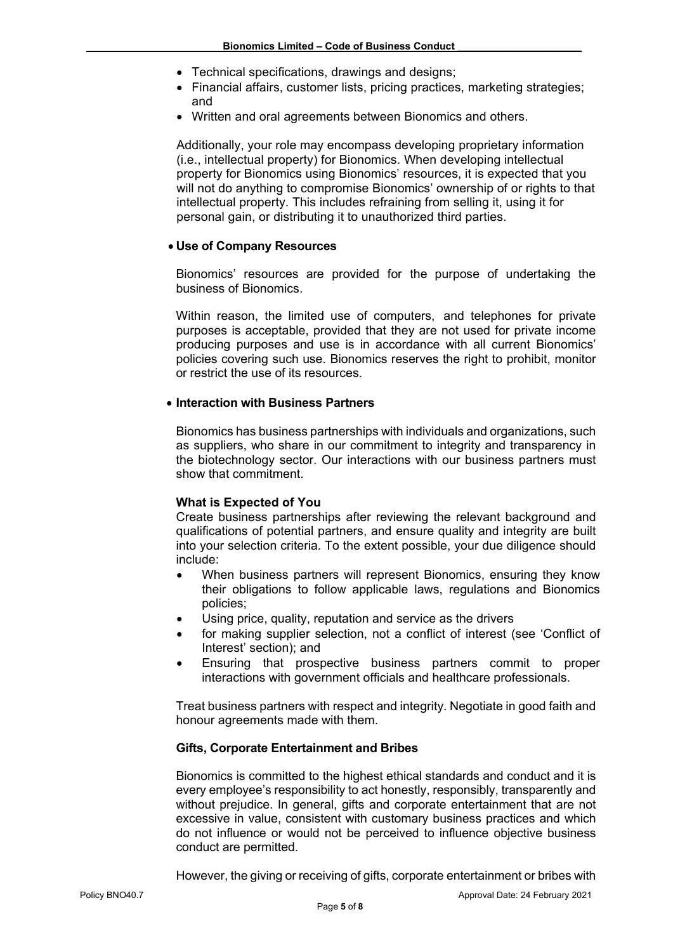- Technical specifications, drawings and designs;
- Financial affairs, customer lists, pricing practices, marketing strategies; and
- Written and oral agreements between Bionomics and others.

Additionally, your role may encompass developing proprietary information (i.e., intellectual property) for Bionomics. When developing intellectual property for Bionomics using Bionomics' resources, it is expected that you will not do anything to compromise Bionomics' ownership of or rights to that intellectual property. This includes refraining from selling it, using it for personal gain, or distributing it to unauthorized third parties.

## • **Use of Company Resources**

Bionomics' resources are provided for the purpose of undertaking the business of Bionomics.

Within reason, the limited use of computers, and telephones for private purposes is acceptable, provided that they are not used for private income producing purposes and use is in accordance with all current Bionomics' policies covering such use. Bionomics reserves the right to prohibit, monitor or restrict the use of its resources.

#### • **Interaction with Business Partners**

Bionomics has business partnerships with individuals and organizations, such as suppliers, who share in our commitment to integrity and transparency in the biotechnology sector. Our interactions with our business partners must show that commitment.

#### **What is Expected of You**

Create business partnerships after reviewing the relevant background and qualifications of potential partners, and ensure quality and integrity are built into your selection criteria. To the extent possible, your due diligence should include:

- When business partners will represent Bionomics, ensuring they know their obligations to follow applicable laws, regulations and Bionomics policies;
- Using price, quality, reputation and service as the drivers
- for making supplier selection, not a conflict of interest (see 'Conflict of Interest' section); and
- Ensuring that prospective business partners commit to proper interactions with government officials and healthcare professionals.

Treat business partners with respect and integrity. Negotiate in good faith and honour agreements made with them.

## **Gifts, Corporate Entertainment and Bribes**

Bionomics is committed to the highest ethical standards and conduct and it is every employee's responsibility to act honestly, responsibly, transparently and without prejudice. In general, gifts and corporate entertainment that are not excessive in value, consistent with customary business practices and which do not influence or would not be perceived to influence objective business conduct are permitted.

However, the giving or receiving of gifts, corporate entertainment or bribes with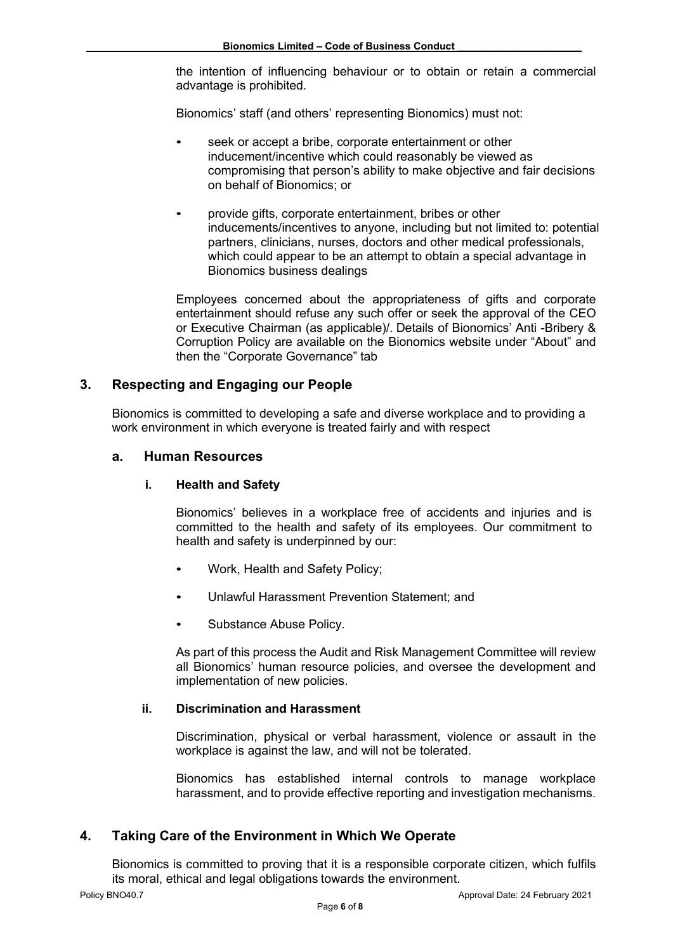the intention of influencing behaviour or to obtain or retain a commercial advantage is prohibited.

Bionomics' staff (and others' representing Bionomics) must not:

- seek or accept a bribe, corporate entertainment or other inducement/incentive which could reasonably be viewed as compromising that person's ability to make objective and fair decisions on behalf of Bionomics; or
- provide gifts, corporate entertainment, bribes or other inducements/incentives to anyone, including but not limited to: potential partners, clinicians, nurses, doctors and other medical professionals, which could appear to be an attempt to obtain a special advantage in Bionomics business dealings

Employees concerned about the appropriateness of gifts and corporate entertainment should refuse any such offer or seek the approval of the CEO or Executive Chairman (as applicable)/. Details of Bionomics' Anti -Bribery & Corruption Policy are available on the Bionomics website under "About" and then the "Corporate Governance" tab

# **3. Respecting and Engaging our People**

Bionomics is committed to developing a safe and diverse workplace and to providing a work environment in which everyone is treated fairly and with respect

## **a. Human Resources**

#### **i. Health and Safety**

Bionomics' believes in a workplace free of accidents and injuries and is committed to the health and safety of its employees. Our commitment to health and safety is underpinned by our:

- Work, Health and Safety Policy;
- Unlawful Harassment Prevention Statement; and
- Substance Abuse Policy.

As part of this process the Audit and Risk Management Committee will review all Bionomics' human resource policies, and oversee the development and implementation of new policies.

## **ii. Discrimination and Harassment**

Discrimination, physical or verbal harassment, violence or assault in the workplace is against the law, and will not be tolerated.

Bionomics has established internal controls to manage workplace harassment, and to provide effective reporting and investigation mechanisms.

## **4. Taking Care of the Environment in Which We Operate**

Bionomics is committed to proving that it is a responsible corporate citizen, which fulfils its moral, ethical and legal obligations towards the environment.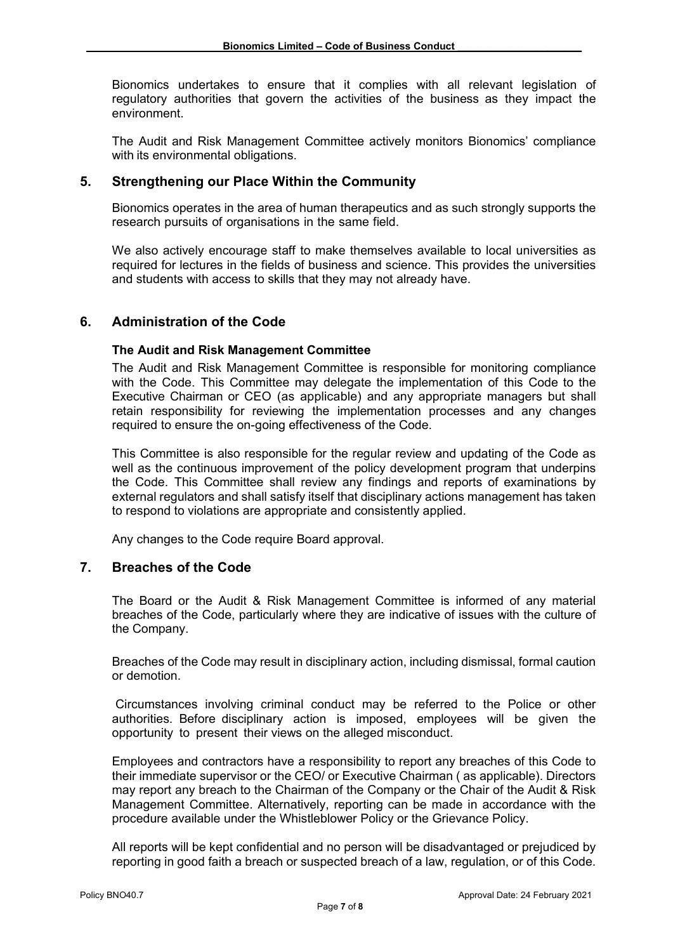Bionomics undertakes to ensure that it complies with all relevant legislation of regulatory authorities that govern the activities of the business as they impact the environment.

The Audit and Risk Management Committee actively monitors Bionomics' compliance with its environmental obligations.

# **5. Strengthening our Place Within the Community**

Bionomics operates in the area of human therapeutics and as such strongly supports the research pursuits of organisations in the same field.

We also actively encourage staff to make themselves available to local universities as required for lectures in the fields of business and science. This provides the universities and students with access to skills that they may not already have.

# **6. Administration of the Code**

## **The Audit and Risk Management Committee**

The Audit and Risk Management Committee is responsible for monitoring compliance with the Code. This Committee may delegate the implementation of this Code to the Executive Chairman or CEO (as applicable) and any appropriate managers but shall retain responsibility for reviewing the implementation processes and any changes required to ensure the on-going effectiveness of the Code.

This Committee is also responsible for the regular review and updating of the Code as well as the continuous improvement of the policy development program that underpins the Code. This Committee shall review any findings and reports of examinations by external regulators and shall satisfy itself that disciplinary actions management has taken to respond to violations are appropriate and consistently applied.

Any changes to the Code require Board approval.

## **7. Breaches of the Code**

The Board or the Audit & Risk Management Committee is informed of any material breaches of the Code, particularly where they are indicative of issues with the culture of the Company.

Breaches of the Code may result in disciplinary action, including dismissal, formal caution or demotion.

Circumstances involving criminal conduct may be referred to the Police or other authorities. Before disciplinary action is imposed, employees will be given the opportunity to present their views on the alleged misconduct.

Employees and contractors have a responsibility to report any breaches of this Code to their immediate supervisor or the CEO/ or Executive Chairman ( as applicable). Directors may report any breach to the Chairman of the Company or the Chair of the Audit & Risk Management Committee. Alternatively, reporting can be made in accordance with the procedure available under the Whistleblower Policy or the Grievance Policy.

All reports will be kept confidential and no person will be disadvantaged or prejudiced by reporting in good faith a breach or suspected breach of a law, regulation, or of this Code.